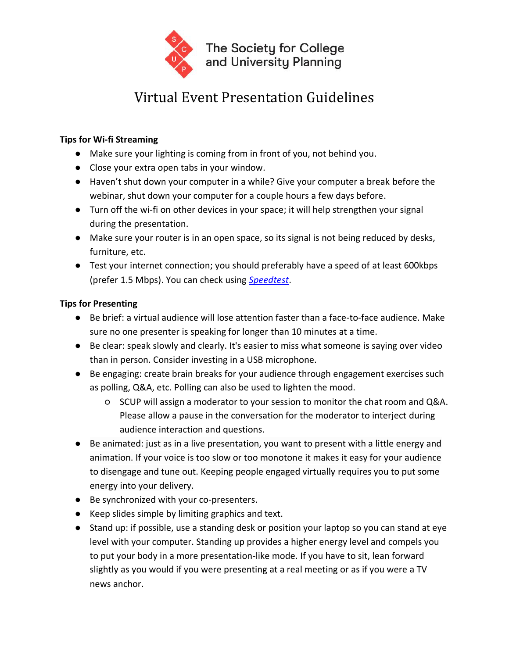

## Virtual Event Presentation Guidelines

## **Tips for Wi-fi Streaming**

- Make sure your lighting is coming from in front of you, not behind you.
- Close your extra open tabs in your window.
- Haven't shut down your computer in a while? Give your computer a break before the webinar, shut down your computer for a couple hours a few days before.
- Turn off the wi-fi on other devices in your space; it will help strengthen your signal during the presentation.
- Make sure your router is in an open space, so its signal is not being reduced by desks, furniture, etc.
- Test your internet connection; you should preferably have a speed of at least 600kbps (prefer 1.5 Mbps). You can check using *[Speedtest](https://www.speedtest.net/)*.

## **Tips for Presenting**

- Be brief: a virtual audience will lose attention faster than a face-to-face audience. Make sure no one presenter is speaking for longer than 10 minutes at a time.
- Be clear: speak slowly and clearly. It's easier to miss what someone is saying over video than in person. Consider investing in a USB microphone.
- Be engaging: create brain breaks for your audience through engagement exercises such as polling, Q&A, etc. Polling can also be used to lighten the mood.
	- SCUP will assign a moderator to your session to monitor the chat room and Q&A. Please allow a pause in the conversation for the moderator to interject during audience interaction and questions.
- Be animated: just as in a live presentation, you want to present with a little energy and animation. If your voice is too slow or too monotone it makes it easy for your audience to disengage and tune out. Keeping people engaged virtually requires you to put some energy into your delivery.
- Be synchronized with your co-presenters.
- Keep slides simple by limiting graphics and text.
- Stand up: if possible, use a standing desk or position your laptop so you can stand at eye level with your computer. Standing up provides a higher energy level and compels you to put your body in a more presentation-like mode. If you have to sit, lean forward slightly as you would if you were presenting at a real meeting or as if you were a TV news anchor.